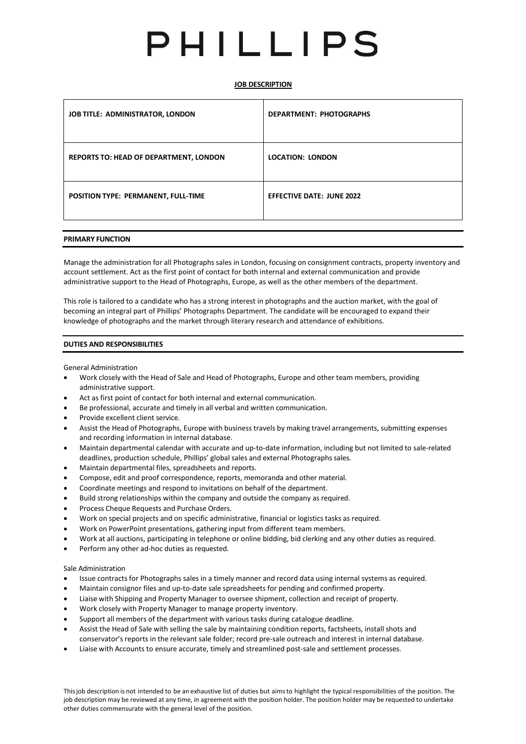# PHILLIPS

# **JOB DESCRIPTION**

| <b>JOB TITLE: ADMINISTRATOR, LONDON</b>       | <b>DEPARTMENT: PHOTOGRAPHS</b>   |
|-----------------------------------------------|----------------------------------|
| <b>REPORTS TO: HEAD OF DEPARTMENT, LONDON</b> | <b>LOCATION: LONDON</b>          |
| POSITION TYPE: PERMANENT, FULL-TIME           | <b>EFFECTIVE DATE: JUNE 2022</b> |

# **PRIMARY FUNCTION**

Manage the administration for all Photographs sales in London, focusing on consignment contracts, property inventory and account settlement. Act as the first point of contact for both internal and external communication and provide administrative support to the Head of Photographs, Europe, as well as the other members of the department.

This role is tailored to a candidate who has a strong interest in photographs and the auction market, with the goal of becoming an integral part of Phillips' Photographs Department. The candidate will be encouraged to expand their knowledge of photographs and the market through literary research and attendance of exhibitions.

#### **DUTIES AND RESPONSIBILITIES**

General Administration

- Work closely with the Head of Sale and Head of Photographs, Europe and other team members, providing administrative support.
- Act as first point of contact for both internal and external communication.
- Be professional, accurate and timely in all verbal and written communication.
- Provide excellent client service.
- Assist the Head of Photographs, Europe with business travels by making travel arrangements, submitting expenses and recording information in internal database.
- Maintain departmental calendar with accurate and up-to-date information, including but not limited to sale-related deadlines, production schedule, Phillips' global sales and external Photographs sales.
- Maintain departmental files, spreadsheets and reports.
- Compose, edit and proof correspondence, reports, memoranda and other material.
- Coordinate meetings and respond to invitations on behalf of the department.
- Build strong relationships within the company and outside the company as required.
- Process Cheque Requests and Purchase Orders.
- Work on special projects and on specific administrative, financial or logistics tasks as required.
- Work on PowerPoint presentations, gathering input from different team members.
- Work at all auctions, participating in telephone or online bidding, bid clerking and any other duties as required.
- Perform any other ad-hoc duties as requested.

#### Sale Administration

- Issue contracts for Photographs sales in a timely manner and record data using internal systems as required.
- Maintain consignor files and up-to-date sale spreadsheets for pending and confirmed property.
- Liaise with Shipping and Property Manager to oversee shipment, collection and receipt of property.
- Work closely with Property Manager to manage property inventory.
- Support all members of the department with various tasks during catalogue deadline.
- Assist the Head of Sale with selling the sale by maintaining condition reports, factsheets, install shots and conservator's reports in the relevant sale folder; record pre-sale outreach and interest in internal database.
- Liaise with Accounts to ensure accurate, timely and streamlined post-sale and settlement processes.

Thisjob description is not intended to be an exhaustive list of duties but aimsto highlight the typical responsibilities of the position. The job description may be reviewed at any time, in agreement with the position holder. The position holder may be requested to undertake other duties commensurate with the general level of the position.